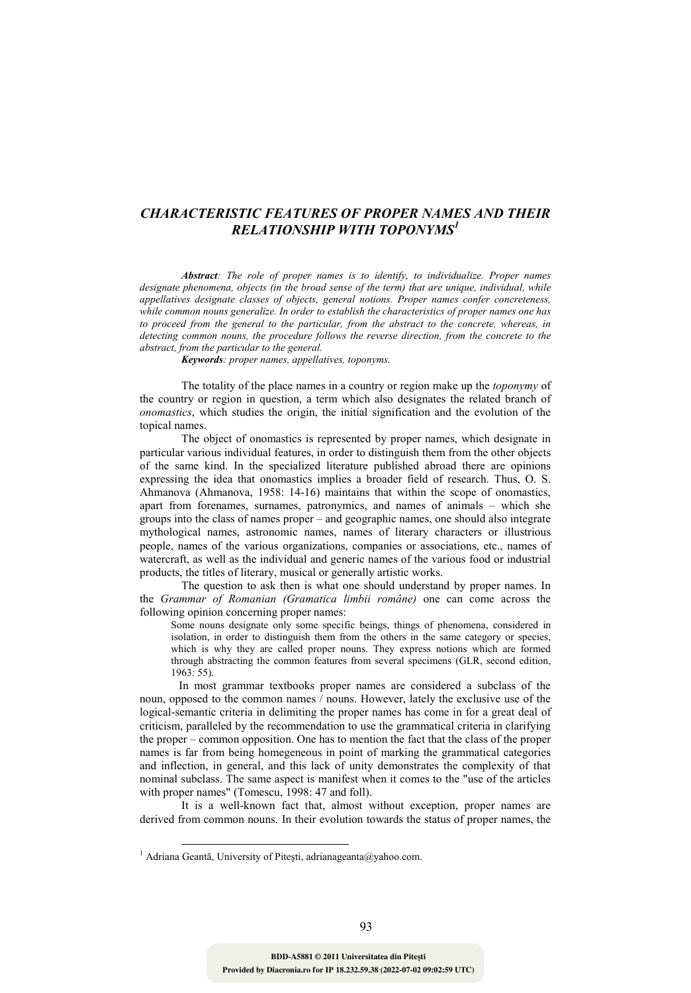## *CHARACTERISTIC FEATURES OF PROPER NAMES AND THEIR RELATIONSHIP WITH TOPONYMS<sup>1</sup>*

*Abstract: The role of proper names is to identify, to individualize. Proper names*  designate phenomena, objects (in the broad sense of the term) that are unique, individual, while *appellatives designate classes of objects, general notions. Proper names confer concreteness, while common nouns generalize. In order to establish the characteristics of proper names one has to proceed from the general to the particular, from the abstract to the concrete, whereas, in detecting common nouns, the procedure follows the reverse direction, from the concrete to the abstract, from the particular to the general.* 

 *Keywords: proper names, appellatives, toponyms.* 

The totality of the place names in a country or region make up the *toponymy* of the country or region in question, a term which also designates the related branch of *onomastics*, which studies the origin, the initial signification and the evolution of the topical names.

 The object of onomastics is represented by proper names, which designate in particular various individual features, in order to distinguish them from the other objects of the same kind. In the specialized literature published abroad there are opinions expressing the idea that onomastics implies a broader field of research. Thus, O. S. Ahmanova (Ahmanova, 1958: 14-16) maintains that within the scope of onomastics, apart from forenames, surnames, patronymics, and names of animals – which she groups into the class of names proper – and geographic names, one should also integrate mythological names, astronomic names, names of literary characters or illustrious people, names of the various organizations, companies or associations, etc., names of watercraft, as well as the individual and generic names of the various food or industrial products, the titles of literary, musical or generally artistic works.

The question to ask then is what one should understand by proper names. In the *Grammar of Romanian (Gramatica limbii române)* one can come across the following opinion concerning proper names:

Some nouns designate only some specific beings, things of phenomena, considered in isolation, in order to distinguish them from the others in the same category or species, which is why they are called proper nouns. They express notions which are formed through abstracting the common features from several specimens (GLR, second edition, 1963: 55).

 In most grammar textbooks proper names are considered a subclass of the noun, opposed to the common names / nouns. However, lately the exclusive use of the logical-semantic criteria in delimiting the proper names has come in for a great deal of criticism, paralleled by the recommendation to use the grammatical criteria in clarifying the proper – common opposition. One has to mention the fact that the class of the proper names is far from being homegeneous in point of marking the grammatical categories and inflection, in general, and this lack of unity demonstrates the complexity of that nominal subclass. The same aspect is manifest when it comes to the "use of the articles with proper names" (Tomescu, 1998: 47 and foll).

It is a well-known fact that, almost without exception, proper names are derived from common nouns. In their evolution towards the status of proper names, the

<u>.</u>

<sup>&</sup>lt;sup>1</sup> Adriana Geantă, University of Pitești, adrianageanta@yahoo.com.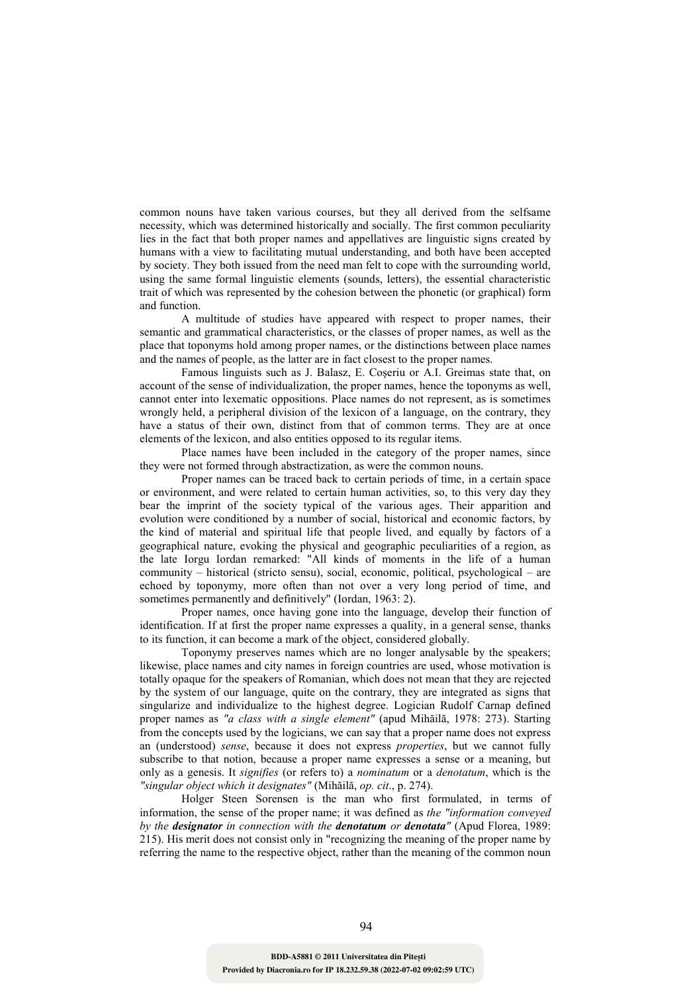common nouns have taken various courses, but they all derived from the selfsame necessity, which was determined historically and socially. The first common peculiarity lies in the fact that both proper names and appellatives are linguistic signs created by humans with a view to facilitating mutual understanding, and both have been accepted by society. They both issued from the need man felt to cope with the surrounding world, using the same formal linguistic elements (sounds, letters), the essential characteristic trait of which was represented by the cohesion between the phonetic (or graphical) form and function.

A multitude of studies have appeared with respect to proper names, their semantic and grammatical characteristics, or the classes of proper names, as well as the place that toponyms hold among proper names, or the distinctions between place names and the names of people, as the latter are in fact closest to the proper names.

Famous linguists such as J. Balasz, E. Coşeriu or A.I. Greimas state that, on account of the sense of individualization, the proper names, hence the toponyms as well, cannot enter into lexematic oppositions. Place names do not represent, as is sometimes wrongly held, a peripheral division of the lexicon of a language, on the contrary, they have a status of their own, distinct from that of common terms. They are at once elements of the lexicon, and also entities opposed to its regular items.

Place names have been included in the category of the proper names, since they were not formed through abstractization, as were the common nouns.

Proper names can be traced back to certain periods of time, in a certain space or environment, and were related to certain human activities, so, to this very day they bear the imprint of the society typical of the various ages. Their apparition and evolution were conditioned by a number of social, historical and economic factors, by the kind of material and spiritual life that people lived, and equally by factors of a geographical nature, evoking the physical and geographic peculiarities of a region, as the late Iorgu Iordan remarked: "All kinds of moments in the life of a human community – historical (stricto sensu), social, economic, political, psychological – are echoed by toponymy, more often than not over a very long period of time, and sometimes permanently and definitively" (Iordan, 1963: 2).

Proper names, once having gone into the language, develop their function of identification. If at first the proper name expresses a quality, in a general sense, thanks to its function, it can become a mark of the object, considered globally.

Toponymy preserves names which are no longer analysable by the speakers; likewise, place names and city names in foreign countries are used, whose motivation is totally opaque for the speakers of Romanian, which does not mean that they are rejected by the system of our language, quite on the contrary, they are integrated as signs that singularize and individualize to the highest degree. Logician Rudolf Carnap defined proper names as *"a class with a single element"* (apud Mihăilă, 1978: 273). Starting from the concepts used by the logicians, we can say that a proper name does not express an (understood) *sense*, because it does not express *properties*, but we cannot fully subscribe to that notion, because a proper name expresses a sense or a meaning, but only as a genesis. It *signifies* (or refers to) a *nominatum* or a *denotatum*, which is the *"singular object which it designates"* (Mihăilă, *op. cit*., p. 274).

Holger Steen Sorensen is the man who first formulated, in terms of information, the sense of the proper name; it was defined as *the "information conveyed by the designator in connection with the denotatum or denotata"* (Apud Florea, 1989: 215). His merit does not consist only in "recognizing the meaning of the proper name by referring the name to the respective object, rather than the meaning of the common noun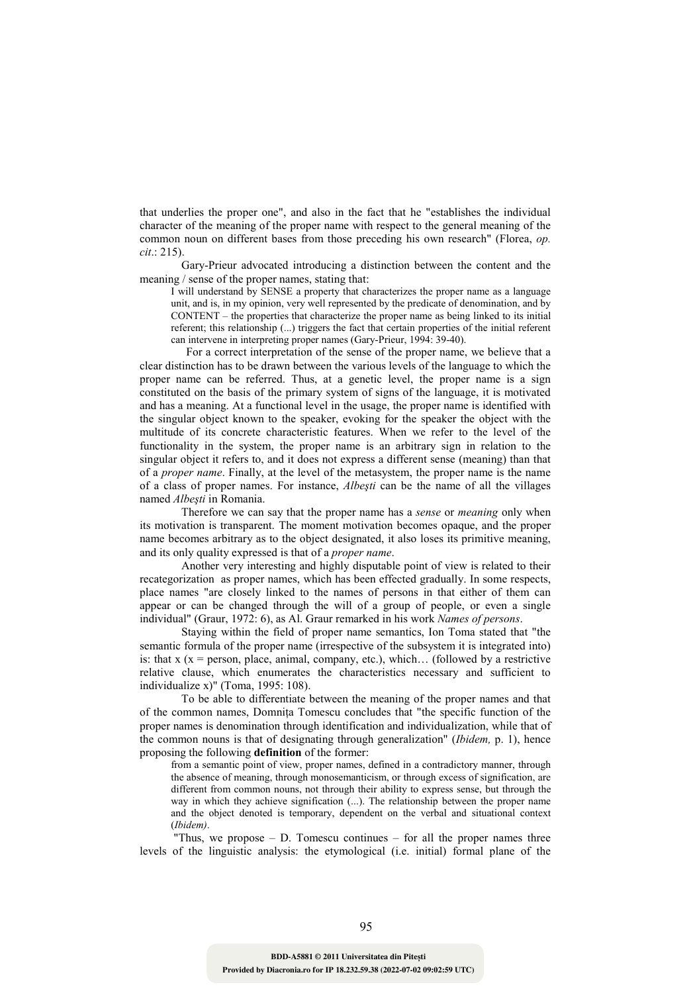that underlies the proper one", and also in the fact that he "establishes the individual character of the meaning of the proper name with respect to the general meaning of the common noun on different bases from those preceding his own research" (Florea, *op. cit*.: 215).

Gary-Prieur advocated introducing a distinction between the content and the meaning / sense of the proper names, stating that:

I will understand by SENSE a property that characterizes the proper name as a language unit, and is, in my opinion, very well represented by the predicate of denomination, and by CONTENT – the properties that characterize the proper name as being linked to its initial referent; this relationship (...) triggers the fact that certain properties of the initial referent can intervene in interpreting proper names (Gary-Prieur, 1994: 39-40).

 For a correct interpretation of the sense of the proper name, we believe that a clear distinction has to be drawn between the various levels of the language to which the proper name can be referred. Thus, at a genetic level, the proper name is a sign constituted on the basis of the primary system of signs of the language, it is motivated and has a meaning. At a functional level in the usage, the proper name is identified with the singular object known to the speaker, evoking for the speaker the object with the multitude of its concrete characteristic features. When we refer to the level of the functionality in the system, the proper name is an arbitrary sign in relation to the singular object it refers to, and it does not express a different sense (meaning) than that of a *proper name*. Finally, at the level of the metasystem, the proper name is the name of a class of proper names. For instance, *Albeşti* can be the name of all the villages named *Albeşti* in Romania.

 Therefore we can say that the proper name has a *sense* or *meaning* only when its motivation is transparent. The moment motivation becomes opaque, and the proper name becomes arbitrary as to the object designated, it also loses its primitive meaning, and its only quality expressed is that of a *proper name*.

Another very interesting and highly disputable point of view is related to their recategorization as proper names, which has been effected gradually. In some respects, place names "are closely linked to the names of persons in that either of them can appear or can be changed through the will of a group of people, or even a single individual" (Graur, 1972: 6), as Al. Graur remarked in his work *Names of persons*.

 Staying within the field of proper name semantics, Ion Toma stated that "the semantic formula of the proper name (irrespective of the subsystem it is integrated into) is: that  $x (x = person, place, animal, company, etc.), which... (followed by a restrictive$ relative clause, which enumerates the characteristics necessary and sufficient to individualize x)" (Toma, 1995: 108).

 To be able to differentiate between the meaning of the proper names and that of the common names, Domnita Tomescu concludes that "the specific function of the proper names is denomination through identification and individualization, while that of the common nouns is that of designating through generalization" (*Ibidem,* p. 1), hence proposing the following **definition** of the former:

from a semantic point of view, proper names, defined in a contradictory manner, through the absence of meaning, through monosemanticism, or through excess of signification, are different from common nouns, not through their ability to express sense, but through the way in which they achieve signification (...). The relationship between the proper name and the object denoted is temporary, dependent on the verbal and situational context (*Ibidem)*.

"Thus, we propose  $-$  D. Tomescu continues  $-$  for all the proper names three levels of the linguistic analysis: the etymological (i.e. initial) formal plane of the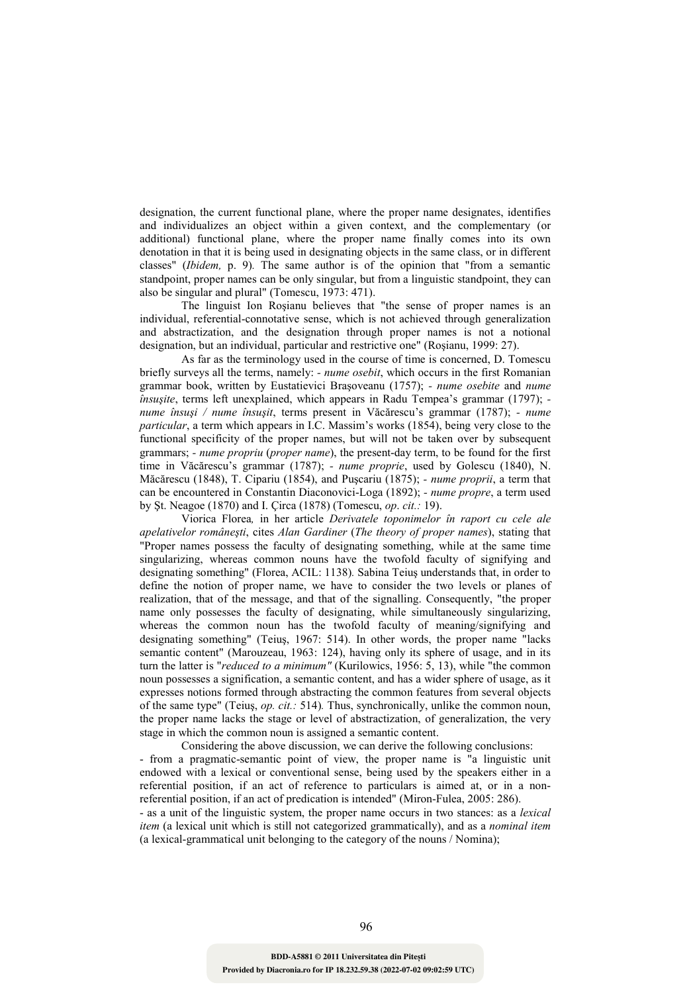designation, the current functional plane, where the proper name designates, identifies and individualizes an object within a given context, and the complementary (or additional) functional plane, where the proper name finally comes into its own denotation in that it is being used in designating objects in the same class, or in different classes" (*Ibidem,* p. 9)*.* The same author is of the opinion that "from a semantic standpoint, proper names can be only singular, but from a linguistic standpoint, they can also be singular and plural" (Tomescu, 1973: 471).

The linguist Ion Roşianu believes that "the sense of proper names is an individual, referential-connotative sense, which is not achieved through generalization and abstractization, and the designation through proper names is not a notional designation, but an individual, particular and restrictive one" (Roşianu, 1999: 27).

As far as the terminology used in the course of time is concerned, D. Tomescu briefly surveys all the terms, namely: *- nume osebit*, which occurs in the first Romanian grammar book, written by Eustatievici Braşoveanu (1757); *- nume osebite* and *nume însuşite*, terms left unexplained, which appears in Radu Tempea's grammar (1797);  *nume însuşi / nume însuşit*, terms present in Văcărescu's grammar (1787); *- nume particular*, a term which appears in I.C. Massim's works (1854), being very close to the functional specificity of the proper names, but will not be taken over by subsequent grammars; *- nume propriu* (*proper name*), the present-day term, to be found for the first time in Văcărescu's grammar (1787); *- nume proprie*, used by Golescu (1840), N. Măcărescu (1848), T. Cipariu (1854), and Puşcariu (1875); *- nume proprii*, a term that can be encountered in Constantin Diaconovici-Loga (1892); *- nume propre*, a term used by Şt. Neagoe (1870) and I. Çirca (1878) (Tomescu, *op*. *cit.:* 19).

Viorica Florea*,* in her article *Derivatele toponimelor în raport cu cele ale apelativelor româneşti*, cites *Alan Gardiner* (*The theory of proper names*), stating that "Proper names possess the faculty of designating something, while at the same time singularizing, whereas common nouns have the twofold faculty of signifying and designating something" (Florea, ACIL: 1138)*.* Sabina Teiuş understands that, in order to define the notion of proper name, we have to consider the two levels or planes of realization, that of the message, and that of the signalling. Consequently, "the proper name only possesses the faculty of designating, while simultaneously singularizing, whereas the common noun has the twofold faculty of meaning/signifying and designating something" (Teiuş, 1967: 514). In other words, the proper name "lacks semantic content" (Marouzeau, 1963: 124), having only its sphere of usage, and in its turn the latter is "*reduced to a minimum"* (Kurilowics, 1956: 5, 13), while "the common noun possesses a signification, a semantic content, and has a wider sphere of usage, as it expresses notions formed through abstracting the common features from several objects of the same type" (Teiuş, *op. cit.:* 514)*.* Thus, synchronically, unlike the common noun, the proper name lacks the stage or level of abstractization, of generalization, the very stage in which the common noun is assigned a semantic content.

Considering the above discussion, we can derive the following conclusions: - from a pragmatic-semantic point of view, the proper name is "a linguistic unit endowed with a lexical or conventional sense, being used by the speakers either in a referential position, if an act of reference to particulars is aimed at, or in a nonreferential position, if an act of predication is intended" (Miron-Fulea, 2005: 286).

- as a unit of the linguistic system, the proper name occurs in two stances: as a *lexical item* (a lexical unit which is still not categorized grammatically), and as a *nominal item*  (a lexical-grammatical unit belonging to the category of the nouns / Nomina);